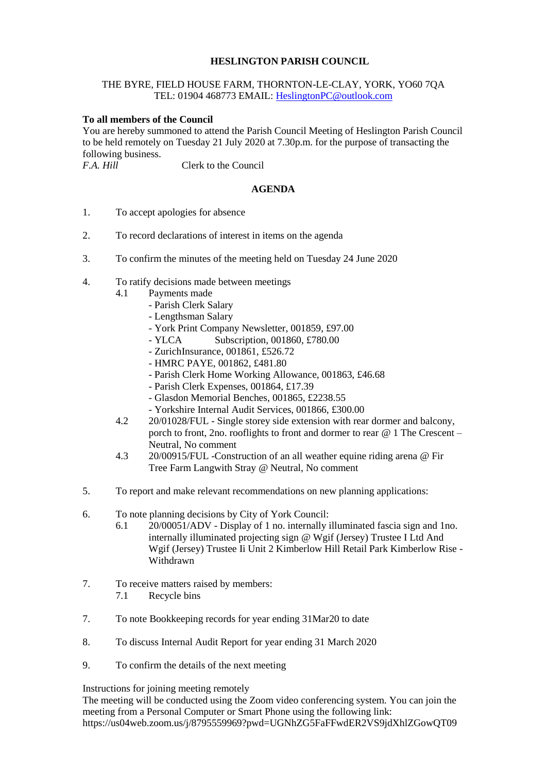## **HESLINGTON PARISH COUNCIL**

### THE BYRE, FIELD HOUSE FARM, THORNTON-LE-CLAY, YORK, YO60 7QA TEL: 01904 468773 EMAIL: [HeslingtonPC@outlook.com](mailto:HeslingtonPC@outlook.com)

### **To all members of the Council**

You are hereby summoned to attend the Parish Council Meeting of Heslington Parish Council to be held remotely on Tuesday 21 July 2020 at 7.30p.m. for the purpose of transacting the following business.

*F.A. Hill* Clerk to the Council

### **AGENDA**

- 1. To accept apologies for absence
- 2. To record declarations of interest in items on the agenda
- 3. To confirm the minutes of the meeting held on Tuesday 24 June 2020
- 4. To ratify decisions made between meetings
	- 4.1 Payments made
		- Parish Clerk Salary
		- Lengthsman Salary
		- York Print Company Newsletter, 001859, £97.00
		- YLCA Subscription, 001860, £780.00
		- ZurichInsurance, 001861, £526.72
		- HMRC PAYE, 001862, £481.80
		- Parish Clerk Home Working Allowance, 001863, £46.68
		- Parish Clerk Expenses, 001864, £17.39
		- Glasdon Memorial Benches, 001865, £2238.55
		- Yorkshire Internal Audit Services, 001866, £300.00
	- 4.2 20/01028/FUL Single storey side extension with rear dormer and balcony, porch to front, 2no. rooflights to front and dormer to rear @ 1 The Crescent – Neutral, No comment
	- 4.3 20/00915/FUL -Construction of an all weather equine riding arena @ Fir Tree Farm Langwith Stray @ Neutral, No comment
- 5. To report and make relevant recommendations on new planning applications:
- 6. To note planning decisions by City of York Council:
	- 6.1 20/00051/ADV Display of 1 no. internally illuminated fascia sign and 1no. internally illuminated projecting sign @ Wgif (Jersey) Trustee I Ltd And Wgif (Jersey) Trustee Ii Unit 2 Kimberlow Hill Retail Park Kimberlow Rise - Withdrawn
- 7. To receive matters raised by members:
	- 7.1 Recycle bins
- 7. To note Bookkeeping records for year ending 31Mar20 to date
- 8. To discuss Internal Audit Report for year ending 31 March 2020
- 9. To confirm the details of the next meeting

Instructions for joining meeting remotely

The meeting will be conducted using the Zoom video conferencing system. You can join the meeting from a Personal Computer or Smart Phone using the following link: https://us04web.zoom.us/j/8795559969?pwd=UGNhZG5FaFFwdER2VS9jdXhlZGowQT09